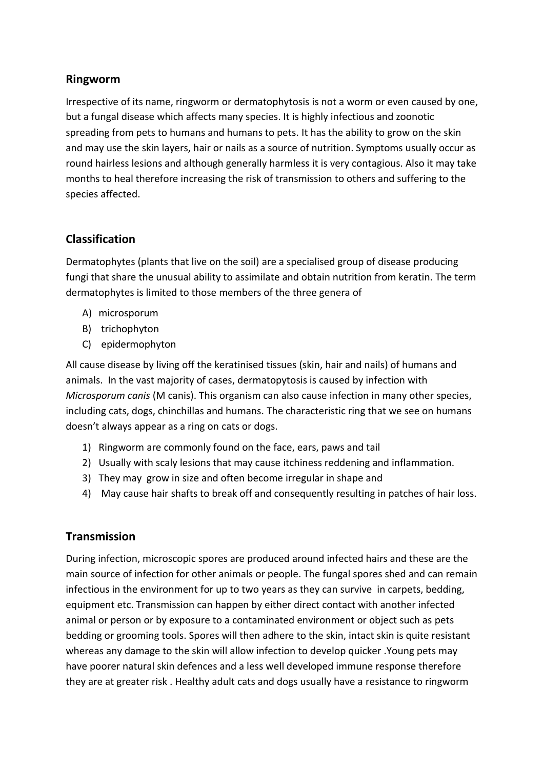### **Ringworm**

Irrespective of its name, ringworm or dermatophytosis is not a worm or even caused by one, but a fungal disease which affects many species. It is highly infectious and zoonotic spreading from pets to humans and humans to pets. It has the ability to grow on the skin and may use the skin layers, hair or nails as a source of nutrition. Symptoms usually occur as round hairless lesions and although generally harmless it is very contagious. Also it may take months to heal therefore increasing the risk of transmission to others and suffering to the species affected.

## **Classification**

Dermatophytes (plants that live on the soil) are a specialised group of disease producing fungi that share the unusual ability to assimilate and obtain nutrition from keratin. The term dermatophytes is limited to those members of the three genera of

- A) microsporum
- B) trichophyton
- C) epidermophyton

All cause disease by living off the keratinised tissues (skin, hair and nails) of humans and animals. In the vast majority of cases, dermatopytosis is caused by infection with *Microsporum canis* (M canis). This organism can also cause infection in many other species, including cats, dogs, chinchillas and humans. The characteristic ring that we see on humans doesn't always appear as a ring on cats or dogs.

- 1) Ringworm are commonly found on the face, ears, paws and tail
- 2) Usually with scaly lesions that may cause itchiness reddening and inflammation.
- 3) They may grow in size and often become irregular in shape and
- 4) May cause hair shafts to break off and consequently resulting in patches of hair loss.

### **Transmission**

During infection, microscopic spores are produced around infected hairs and these are the main source of infection for other animals or people. The fungal spores shed and can remain infectious in the environment for up to two years as they can survive in carpets, bedding, equipment etc. Transmission can happen by either direct contact with another infected animal or person or by exposure to a contaminated environment or object such as pets bedding or grooming tools. Spores will then adhere to the skin, intact skin is quite resistant whereas any damage to the skin will allow infection to develop quicker .Young pets may have poorer natural skin defences and a less well developed immune response therefore they are at greater risk . Healthy adult cats and dogs usually have a resistance to ringworm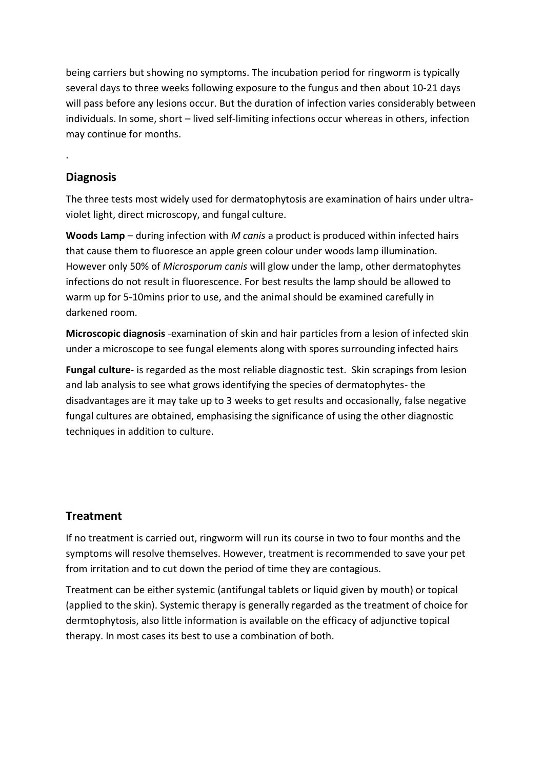being carriers but showing no symptoms. The incubation period for ringworm is typically several days to three weeks following exposure to the fungus and then about 10-21 days will pass before any lesions occur. But the duration of infection varies considerably between individuals. In some, short – lived self-limiting infections occur whereas in others, infection may continue for months.

## **Diagnosis**

.

The three tests most widely used for dermatophytosis are examination of hairs under ultraviolet light, direct microscopy, and fungal culture.

**Woods Lamp** – during infection with *M canis* a product is produced within infected hairs that cause them to fluoresce an apple green colour under woods lamp illumination. However only 50% of *Microsporum canis* will glow under the lamp, other dermatophytes infections do not result in fluorescence. For best results the lamp should be allowed to warm up for 5-10mins prior to use, and the animal should be examined carefully in darkened room.

**Microscopic diagnosis** -examination of skin and hair particles from a lesion of infected skin under a microscope to see fungal elements along with spores surrounding infected hairs

**Fungal culture**- is regarded as the most reliable diagnostic test. Skin scrapings from lesion and lab analysis to see what grows identifying the species of dermatophytes- the disadvantages are it may take up to 3 weeks to get results and occasionally, false negative fungal cultures are obtained, emphasising the significance of using the other diagnostic techniques in addition to culture.

# **Treatment**

If no treatment is carried out, ringworm will run its course in two to four months and the symptoms will resolve themselves. However, treatment is recommended to save your pet from irritation and to cut down the period of time they are contagious.

Treatment can be either systemic (antifungal tablets or liquid given by mouth) or topical (applied to the skin). Systemic therapy is generally regarded as the treatment of choice for dermtophytosis, also little information is available on the efficacy of adjunctive topical therapy. In most cases its best to use a combination of both.